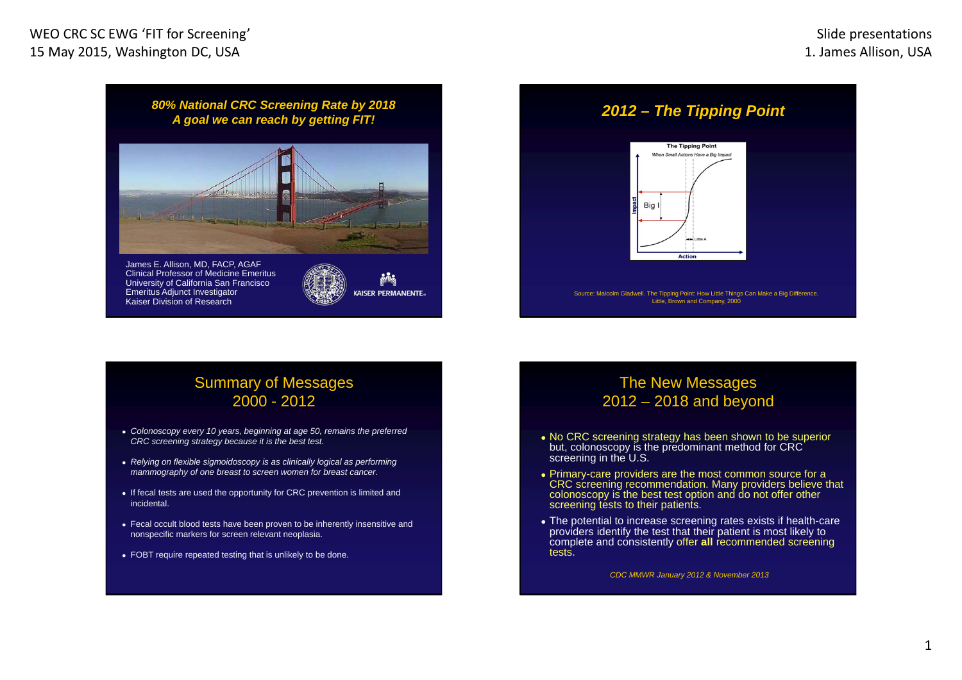*80% National CRC Screening Rate by 2018 A goal we can reach by getting FIT!*



James E. Allison, MD, FACP, AGAF Clinical Professor of Medicine Emeritus University of California San Francisco Emeritus Adjunct Investigator Kaiser Division of Research



# *2012 – The Tipping Point*



## Summary of Messages 2000 - 2012

- *Colonoscopy every 10 years, beginning at age 50, remains the preferred CRC screening strategy because it is the best test.*
- *Relying on flexible sigmoidoscopy is as clinically logical as performing mammography of one breast to screen women for breast cancer.*
- If fecal tests are used the opportunity for CRC prevention is limited and incidental.
- Fecal occult blood tests have been proven to be inherently insensitive and nonspecific markers for screen relevant neoplasia.
- FOBT require repeated testing that is unlikely to be done.

## The New Messages 2012 – 2018 and beyond

- No CRC screening strategy has been shown to be superior but, colonoscopy is the predominant method for CRC screening in the U.S.
- Primary-care providers are the most common source for a CRC screening recommendation. Many providers believe that colonoscopy is the best test option and do not offer other screening tests to their patients.
- The potential to increase screening rates exists if health-care providers identify the test that their patient is most likely to complete and consistently offer **all** recommended screening tests.

*CDC MMWR January 2012 & November 2013*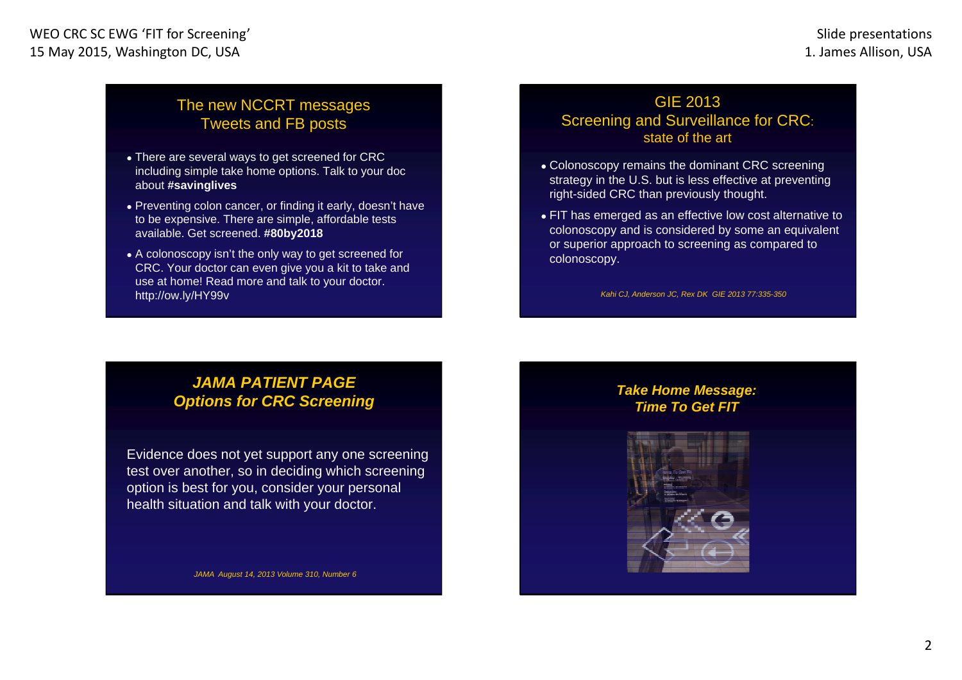## The new NCCRT messages Tweets and FB posts

- There are several ways to get screened for CRC including simple take home options. Talk to your doc about **#savinglives**
- Preventing colon cancer, or finding it early, doesn't have to be expensive. There are simple, affordable tests available. Get screened. **#80by2018**
- A colonoscopy isn't the only way to get screened for CRC. Your doctor can even give you a kit to take and use at home! Read more and talk to your doctor. http://ow.ly/HY99v

## GIE 2013 Screening and Surveillance for CRC: state of the art

- Colonoscopy remains the dominant CRC screening strategy in the U.S. but is less effective at preventing right-sided CRC than previously thought.
- FIT has emerged as an effective low cost alternative to colonoscopy and is considered by some an equivalent or superior approach to screening as compared to colonoscopy.

*Kahi CJ, Anderson JC, Rex DK GIE 2013 77:335-350*

## *JAMA PATIENT PAGE Options for CRC Screening*

Evidence does not yet support any one screening test over another, so in deciding which screening option is best for you, consider your personal health situation and talk with your doctor.

*JAMA August 14, 2013 Volume 310, Number 6*

## *Take Home Message: Time To Get FIT*